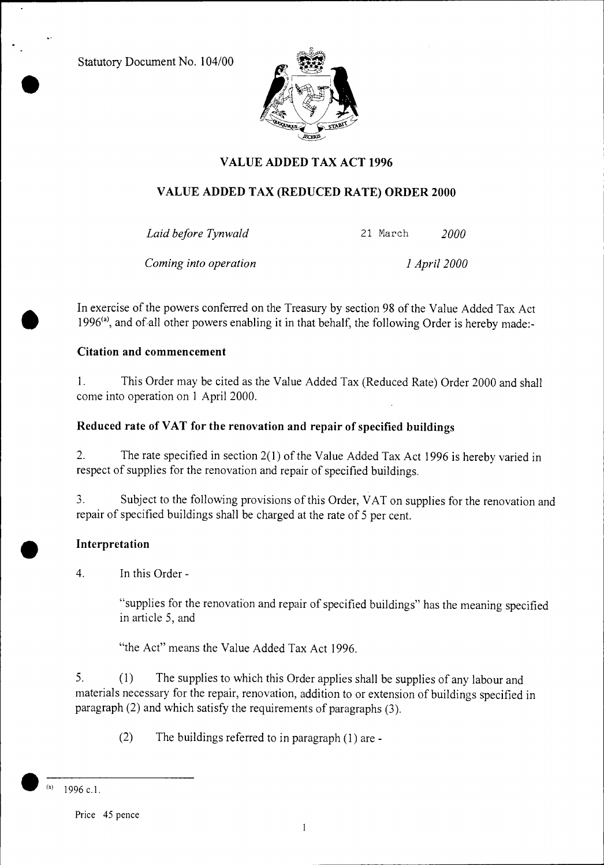Statutory Document No. 104/00



# **VALUE ADDED TAX ACT 1996**

# **VALUE ADDED TAX (REDUCED RATE) ORDER 2000**

*Laid before Tynwald* 21 March *2000* 

*Coming into operation 1 April 2000* 

In exercise of the powers conferred on the Treasury by section 98 of the Value Added Tax Act 1996<sup>(a)</sup>, and of all other powers enabling it in that behalf, the following Order is hereby made:-

## **Citation and commencement**

1. This Order may be cited as the Value Added Tax (Reduced Rate) Order 2000 and shall come into operation on 1 April 2000.

## **Reduced rate of VAT for the renovation and repair of specified buildings**

2. The rate specified in section 2(1) of the Value Added Tax Act 1996 is hereby varied in respect of supplies for the renovation and repair of specified buildings.

3. Subject to the following provisions of this Order, VAT on supplies for the renovation and repair of specified buildings shall be charged at the rate of 5 per cent.

## **Interpretation**

**•**

4. In this Order -

"supplies for the renovation and repair of specified buildings" has the meaning specified in article 5, and

"the Act" means the Value Added Tax Act 1996.

5. (1) The supplies to which this Order applies shall be supplies of any labour and materials necessary for the repair, renovation, addition to or extension of buildings specified in paragraph (2) and which satisfy the requirements of paragraphs (3).

(2) The buildings referred to in paragraph (1) are -

**<sup>•</sup> (a)** 1996 c.l.

Price 45 pence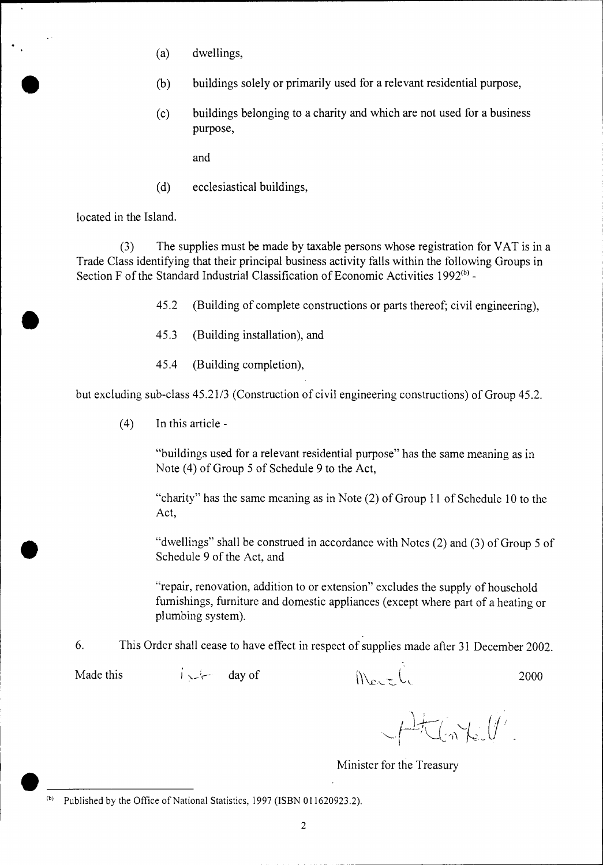- (a) dwellings,
- (b) buildings solely or primarily used for a relevant residential purpose,
- (c) buildings belonging to a charity and which are not used for a business purpose,

and

(d) ecclesiastical buildings,

located in the Island.

(3) The supplies must be made by taxable persons whose registration for VAT is in a Trade Class identifying that their principal business activity falls within the following Groups in Section F of the Standard Industrial Classification of Economic Activities  $1992<sup>(b)</sup>$  -

- 45.2 (Building of complete constructions or parts thereof; civil engineering),<br>45.3 (Building installation), and
- (Building installation), and
- 45.4 (Building completion),

but excluding sub-class 45.21/3 (Construction of civil engineering constructions) of Group 45.2.

(4) In this article -

"buildings used for a relevant residential purpose" has the same meaning as in Note (4) of Group 5 of Schedule 9 to the Act,

"charity" has the same meaning as in Note (2) of Group 11 of Schedule 10 to the Act,

"dwellings" shall be construed in accordance with Notes (2) and (3) of Group 5 of Schedule 9 of the Act, and

"repair, renovation, addition to or extension" excludes the supply of household furnishings, furniture and domestic appliances (except where part of a heating or plumbing system).

6. This Order shall cease to have effect in respect of supplies made after 31 December 2002.

Made this  $i \downarrow$  day of  $i \downarrow$  day of  $i \downarrow$  2000

 $H_{\text{in}}(x,y)$ 

Minister for the Treasury

 $(b)$  Published by the Office of National Statistics, 1997 (ISBN 011620923.2).